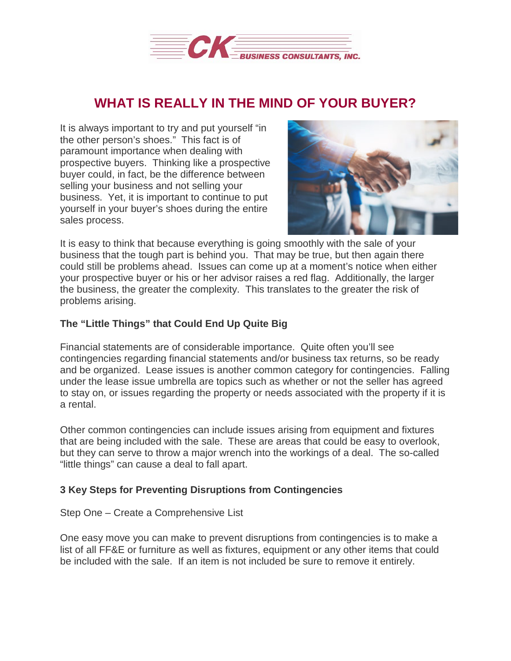

## **WHAT IS REALLY IN THE MIND OF YOUR BUYER?**

It is always important to try and put yourself "in the other person's shoes." This fact is of paramount importance when dealing with prospective buyers. Thinking like a prospective buyer could, in fact, be the difference between selling your business and not selling your business. Yet, it is important to continue to put yourself in your buyer's shoes during the entire sales process.



It is easy to think that because everything is going smoothly with the sale of your business that the tough part is behind you. That may be true, but then again there could still be problems ahead. Issues can come up at a moment's notice when either your prospective buyer or his or her advisor raises a red flag. Additionally, the larger the business, the greater the complexity. This translates to the greater the risk of problems arising.

## **The "Little Things" that Could End Up Quite Big**

Financial statements are of considerable importance. Quite often you'll see contingencies regarding financial statements and/or business tax returns, so be ready and be organized. Lease issues is another common category for contingencies. Falling under the lease issue umbrella are topics such as whether or not the seller has agreed to stay on, or issues regarding the property or needs associated with the property if it is a rental.

Other common contingencies can include issues arising from equipment and fixtures that are being included with the sale. These are areas that could be easy to overlook, but they can serve to throw a major wrench into the workings of a deal. The so-called "little things" can cause a deal to fall apart.

## **3 Key Steps for Preventing Disruptions from Contingencies**

Step One – Create a Comprehensive List

One easy move you can make to prevent disruptions from contingencies is to make a list of all FF&E or furniture as well as fixtures, equipment or any other items that could be included with the sale. If an item is not included be sure to remove it entirely.